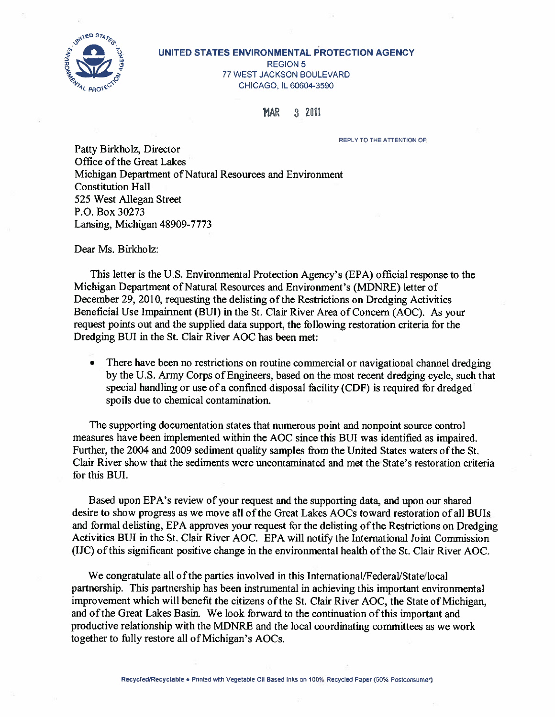

#### UNITED STATES ENVIRONMENTAL PROTECTION AGENCY REGION 5 77 WEST JACKSON BOULEVARD CHICAGO, IL 60604-3590

**MAR** 3 2011

REPLY TO THE ATTENTION OF:

Patty Birkholz, Director Office of the Great Lakes Michigan Department of Natural Resources and Environment Constitution Hall 525 West Allegan Street P.O. Box 30273 Lansing, Michigan 48909-7773

Dear Ms. Birkholz:

This letter is the U.S. Environmental Protection Agency's (EPA) official response to the Michigan Department of Natural Resources and Environment's (MDNRE) letter of December 29, 2010, requesting the delisting of the Restrictions on Dredging Activities Beneficial Use Impairment (BUT) in the St. Clair River Area of Concern (AOC). As your request points out and the supplied data support, the following restoration criteria for the Dredging BUT in the St. Clair River AOC has been met:

• There have been no restrictions on routine commercial or navigational channel dredging by the U.S. Army Corps of Engineers, based on the most recent dredging cycle, such that special handling or use of <sup>a</sup> confined disposal facility (CDF) is required for dredged spoils due to chemical contamination.

The supporting documentation states that numerous point and nonpoint source control measures have been implemented within the AOC since this BUT was identified as impaired. Further, the 2004 and 2009 sediment quality samples from the United States waters of the St. Clair River show that the sediments were uncontaminated and met the State's restoration criteria for this BUT.

Based upon EPA's review of your request and the supporting data, and upon our shared desire to show progress as we move all of the Great Lakes AOCs toward restoration of all BUIs and formal delisting, EPA approves your request for the delisting of the Restrictions on Dredging Activities BUI in the St. Clair River AOC. EPA will notify the International Joint Commission (JJC) ofthis significant positive change in the environmental health ofthe St. Clair River AOC.

We congratulate all of the parties involved in this International/Federal/State/local partnership. This partnership has been instrumental in achieving this important environmental improvement which will benefit the citizens of the St. Clair River AOC, the State of Michigan, and ofthe Great Lakes Basin. We look forward to the continuation ofthis important and productive relationship with the MDNRE and the local coordinating committees as we work together to fully restore all of Michigan's AOCs.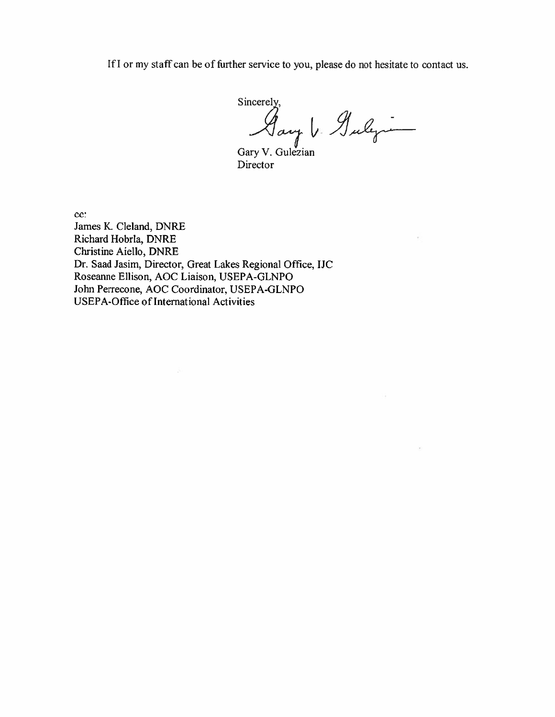If I or my staff can be of further service to you, please do not hesitate to contact us.

Sincerely,<br>Say V. Gulyn

Gary V. Gulezian Director

cc:

James K. Cleland, DNRE Richard Hobria, DNRE Christine Aiello, DNRE Dr. Saad Jasim, Director, Great Lakes Regional Office, IJC Roseanne Ellison, AOC Liaison, USEPA-GLNPO John Perrecone, AOC Coordinator, USEPA-GLNPO USEPA-Office of International Activities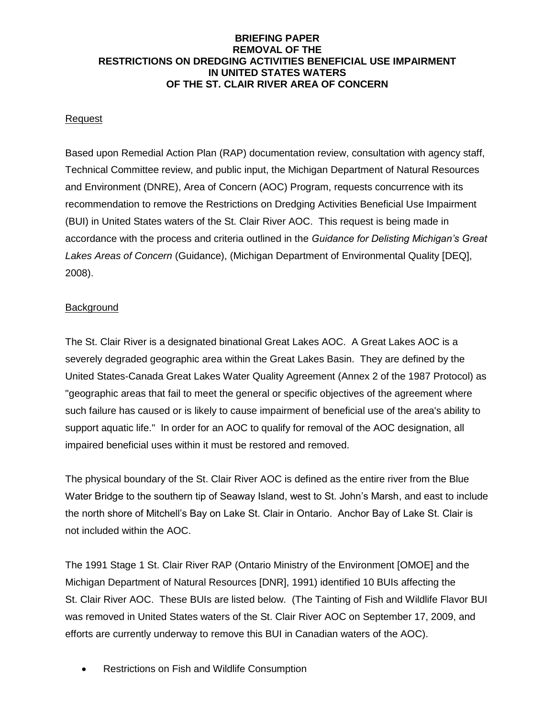#### **BRIEFING PAPER REMOVAL OF THE RESTRICTIONS ON DREDGING ACTIVITIES BENEFICIAL USE IMPAIRMENT IN UNITED STATES WATERS OF THE ST. CLAIR RIVER AREA OF CONCERN**

### **Request**

Based upon Remedial Action Plan (RAP) documentation review, consultation with agency staff, Technical Committee review, and public input, the Michigan Department of Natural Resources and Environment (DNRE), Area of Concern (AOC) Program, requests concurrence with its recommendation to remove the Restrictions on Dredging Activities Beneficial Use Impairment (BUI) in United States waters of the St. Clair River AOC. This request is being made in accordance with the process and criteria outlined in the *Guidance for Delisting Michigan's Great Lakes Areas of Concern* [\(Guidance\)](https://www.michigan.gov/documents/egle/wrd-aoc-delisting-guidance_665180_7.pdf), (Michigan Department of Environmental Quality [DEQ], 2008).

### Background

The St. Clair River is a designated binational Great Lakes AOC. A Great Lakes AOC is a severely degraded geographic area within the Great Lakes Basin. They are defined by the United States-Canada [Great Lakes Water Quality Agreement](http://www.epa.gov/glnpo/glwqa/) (Annex 2 of the 1987 Protocol) as "geographic areas that fail to meet the general or specific objectives of the agreement where such failure has caused or is likely to cause impairment of beneficial use of the area's ability to support aquatic life." In order for an AOC to qualify for removal of the AOC designation, all impaired beneficial uses within it must be restored and removed.

The physical boundary of the St. Clair River AOC is defined as the entire river from the Blue Water Bridge to the southern tip of Seaway Island, west to St. John's Marsh, and east to include the north shore of Mitchell's Bay on Lake St. Clair in Ontario. Anchor Bay of Lake St. Clair is not included within the AOC.

The 1991 Stage 1 St. Clair River RAP (Ontario Ministry of the Environment [OMOE] and the Michigan Department of Natural Resources [DNR], 1991) identified 10 BUIs affecting the St. Clair River AOC. These BUIs are listed below. (The Tainting of Fish and Wildlife Flavor BUI was removed in United States waters of the St. Clair River AOC on September 17, 2009, and efforts are currently underway to remove this BUI in Canadian waters of the AOC).

Restrictions on Fish and Wildlife Consumption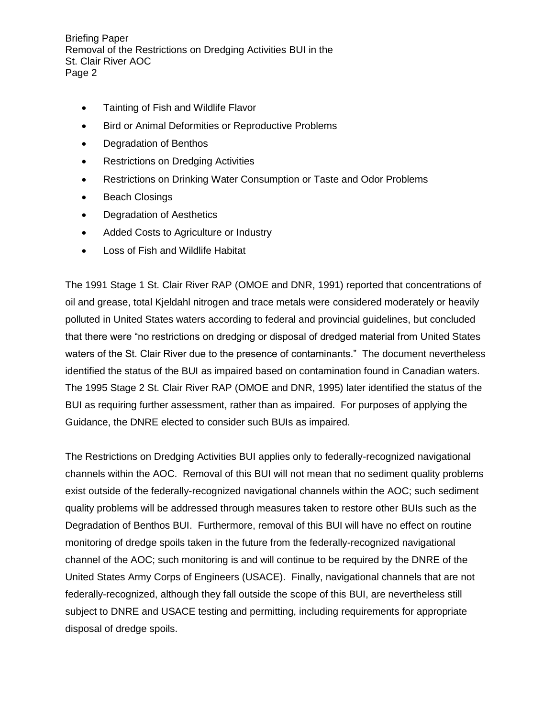- Tainting of Fish and Wildlife Flavor
- Bird or Animal Deformities or Reproductive Problems
- Degradation of Benthos
- Restrictions on Dredging Activities
- Restrictions on Drinking Water Consumption or Taste and Odor Problems
- Beach Closings
- Degradation of Aesthetics
- Added Costs to Agriculture or Industry
- Loss of Fish and Wildlife Habitat

The [1991 Stage 1 St. Clair River RAP](http://www.epa.gov/glnpo/aoc/stclair/1992_SCR%20RAP%20Stg%201.pdf) (OMOE and DNR, 1991) reported that concentrations of oil and grease, total Kjeldahl nitrogen and trace metals were considered moderately or heavily polluted in United States waters according to federal and provincial guidelines, but concluded that there were "no restrictions on dredging or disposal of dredged material from United States waters of the St. Clair River due to the presence of contaminants." The document nevertheless identified the status of the BUI as impaired based on contamination found in Canadian waters. The [1995 Stage 2 St. Clair River RAP](http://www.epa.gov/glnpo/aoc/stclair/1992_SCR%20RAP%20Stg%201.pdf) (OMOE and DNR, 1995) later identified the status of the BUI as requiring further assessment, rather than as impaired. For purposes of applying the Guidance, the DNRE elected to consider such BUIs as impaired.

The Restrictions on Dredging Activities BUI applies only to federally-recognized navigational channels within the AOC. Removal of this BUI will not mean that no sediment quality problems exist outside of the federally-recognized navigational channels within the AOC; such sediment quality problems will be addressed through measures taken to restore other BUIs such as the Degradation of Benthos BUI. Furthermore, removal of this BUI will have no effect on routine monitoring of dredge spoils taken in the future from the federally-recognized navigational channel of the AOC; such monitoring is and will continue to be required by the DNRE of the United States Army Corps of Engineers (USACE). Finally, navigational channels that are not federally-recognized, although they fall outside the scope of this BUI, are nevertheless still subject to DNRE and USACE testing and permitting, including requirements for appropriate disposal of dredge spoils.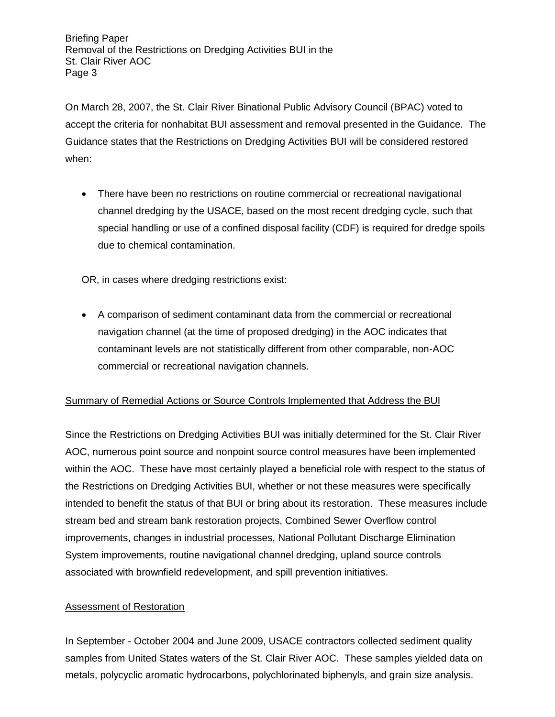On March 28, 2007, the St. Clair River Binational Public Advisory Council (BPAC) voted to accept the criteria for nonhabitat BUI assessment and removal presented in the Guidance. The Guidance states that the Restrictions on Dredging Activities BUI will be considered restored when:

• There have been no restrictions on routine commercial or recreational navigational channel dredging by the USACE, based on the most recent dredging cycle, such that special handling or use of a confined disposal facility (CDF) is required for dredge spoils due to chemical contamination.

OR, in cases where dredging restrictions exist:

 A comparison of sediment contaminant data from the commercial or recreational navigation channel (at the time of proposed dredging) in the AOC indicates that contaminant levels are not statistically different from other comparable, non-AOC commercial or recreational navigation channels.

# Summary of Remedial Actions or Source Controls Implemented that Address the BUI

Since the Restrictions on Dredging Activities BUI was initially determined for the St. Clair River AOC, numerous point source and nonpoint source control measures have been implemented within the AOC. These have most certainly played a beneficial role with respect to the status of the Restrictions on Dredging Activities BUI, whether or not these measures were specifically intended to benefit the status of that BUI or bring about its restoration. These measures include stream bed and stream bank restoration projects, Combined Sewer Overflow control improvements, changes in industrial processes, National Pollutant Discharge Elimination System improvements, routine navigational channel dredging, upland source controls associated with brownfield redevelopment, and spill prevention initiatives.

# Assessment of Restoration

In September - October 2004 and June 2009, USACE contractors collected sediment quality samples from United States waters of the St. Clair River AOC. These samples yielded data on metals, polycyclic aromatic hydrocarbons, polychlorinated biphenyls, and grain size analysis.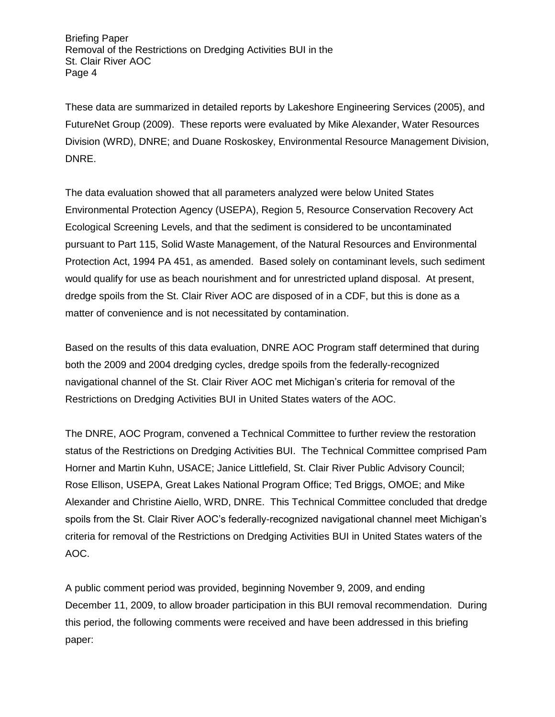These data are summarized in detailed reports by Lakeshore Engineering Services (2005), and FutureNet Group (2009). These reports were evaluated by Mike Alexander, Water Resources Division (WRD), DNRE; and Duane Roskoskey, Environmental Resource Management Division, DNRE.

The data evaluation showed that all parameters analyzed were below United States Environmental Protection Agency (USEPA), Region 5, Resource Conservation Recovery Act Ecological Screening Levels, and that the sediment is considered to be uncontaminated pursuant to Part 115, Solid Waste Management, of the Natural Resources and Environmental Protection Act, 1994 PA 451, as amended. Based solely on contaminant levels, such sediment would qualify for use as beach nourishment and for unrestricted upland disposal. At present, dredge spoils from the St. Clair River AOC are disposed of in a CDF, but this is done as a matter of convenience and is not necessitated by contamination.

Based on the results of this data evaluation, DNRE AOC Program staff determined that during both the 2009 and 2004 dredging cycles, dredge spoils from the federally-recognized navigational channel of the St. Clair River AOC met Michigan's criteria for removal of the Restrictions on Dredging Activities BUI in United States waters of the AOC.

The DNRE, AOC Program, convened a Technical Committee to further review the restoration status of the Restrictions on Dredging Activities BUI. The Technical Committee comprised Pam Horner and Martin Kuhn, USACE; Janice Littlefield, St. Clair River Public Advisory Council; Rose Ellison, USEPA, Great Lakes National Program Office; Ted Briggs, OMOE; and Mike Alexander and Christine Aiello, WRD, DNRE. This Technical Committee concluded that dredge spoils from the St. Clair River AOC's federally-recognized navigational channel meet Michigan's criteria for removal of the Restrictions on Dredging Activities BUI in United States waters of the AOC.

A public comment period was provided, beginning November 9, 2009, and ending December 11, 2009, to allow broader participation in this BUI removal recommendation. During this period, the following comments were received and have been addressed in this briefing paper: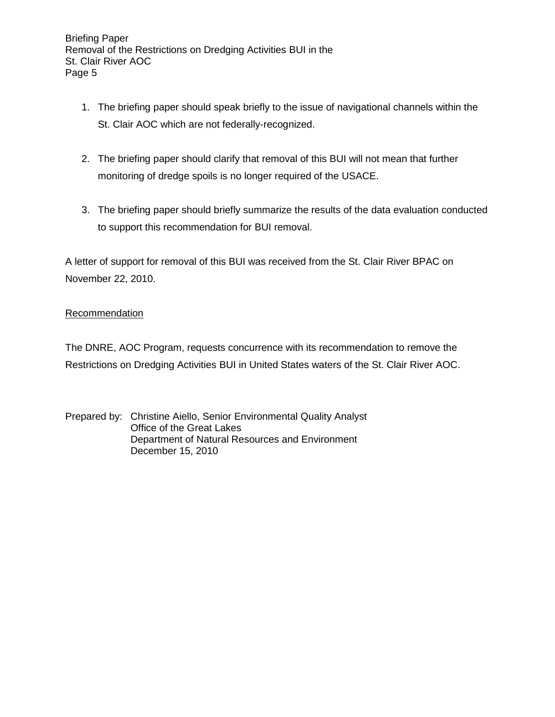- 1. The briefing paper should speak briefly to the issue of navigational channels within the St. Clair AOC which are not federally-recognized.
- 2. The briefing paper should clarify that removal of this BUI will not mean that further monitoring of dredge spoils is no longer required of the USACE.
- 3. The briefing paper should briefly summarize the results of the data evaluation conducted to support this recommendation for BUI removal.

A letter of support for removal of this BUI was received from the St. Clair River BPAC on November 22, 2010.

### Recommendation

The DNRE, AOC Program, requests concurrence with its recommendation to remove the Restrictions on Dredging Activities BUI in United States waters of the St. Clair River AOC.

Prepared by: Christine Aiello, Senior Environmental Quality Analyst Office of the Great Lakes Department of Natural Resources and Environment December 15, 2010